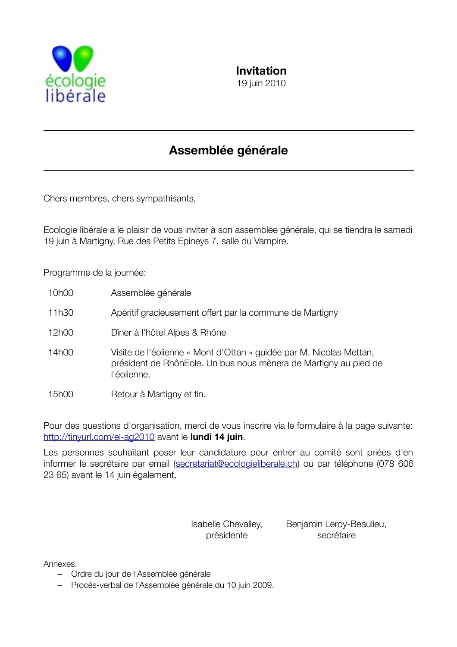

# Assemblée générale

Chers membres, chers sympathisants,

Ecologie libérale a le plaisir de vous inviter à son assemblée générale, qui se tiendra le samedi 19 juin à Martigny, Rue des Petits Epineys 7, salle du Vampire.

Programme de la journée:

| 10h00 | Assemblée générale                                                                                                                                     |
|-------|--------------------------------------------------------------------------------------------------------------------------------------------------------|
| 11h30 | Apéritif gracieusement offert par la commune de Martigny                                                                                               |
| 12h00 | Dîner à l'hôtel Alpes & Rhône                                                                                                                          |
| 14h00 | Visite de l'éolienne « Mont d'Ottan » guidée par M. Nicolas Mettan,<br>président de RhônEole. Un bus nous mènera de Martigny au pied de<br>l'éolienne. |
| 15h00 | Retour à Martigny et fin.                                                                                                                              |

Pour des questions d'organisation, merci de vous inscrire via le formulaire à la page suivante: http://tinyurl.com/el-ag2010 avant le lundi 14 juin.

Les personnes souhaitant poser leur candidature pour entrer au comité sont priées d'en informer le secrétaire par email (secretariat@ecologieliberale.ch) ou par téléphone (078 606 23 65) avant le 14 juin également.

> Isabelle Chevalley, présidente

Benjamin Leroy-Beaulieu, secrétaire

Annexes:

- Ordre du jour de l'Assemblée générale
- Procès-verbal de l'Assemblée générale du 10 juin 2009.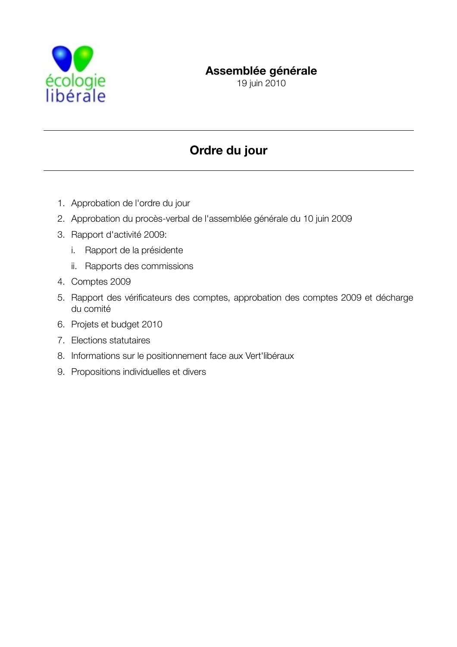

## Assemblée générale

19 juin 2010

# Ordre du jour

- 1. Approbation de l'ordre du jour
- 2. Approbation du procès-verbal de l'assemblée générale du 10 juin 2009
- 3. Rapport d'activité 2009:
	- i. Rapport de la présidente
	- ii. Rapports des commissions
- 4. Comptes 2009
- 5. Rapport des vérificateurs des comptes, approbation des comptes 2009 et décharge du comité
- 6. Projets et budget 2010
- 7. Elections statutaires
- 8. Informations sur le positionnement face aux Vert'libéraux
- 9. Propositions individuelles et divers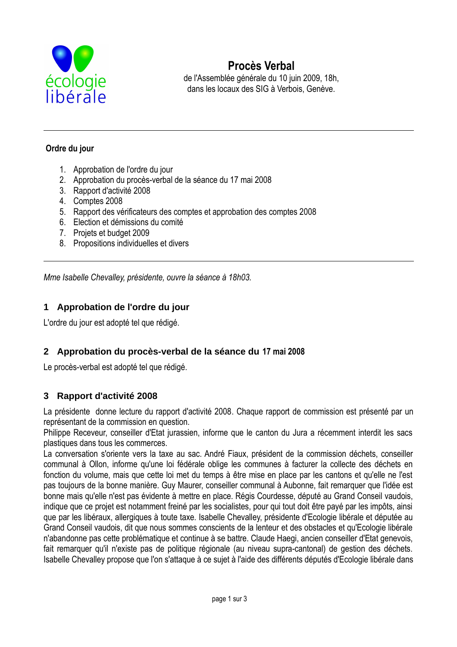

## Procès Verbal

de l'Assemblée générale du 10 juin 2009, 18h, dans les locaux des SIG à Verbois. Genève.

#### Ordre du jour

- 1. Approbation de l'ordre du jour
- 2. Approbation du procès-verbal de la séance du 17 mai 2008
- 3. Rapport d'activité 2008
- 4. Comptes 2008
- 5. Rapport des vérificateurs des comptes et approbation des comptes 2008
- 6. Election et démissions du comité
- 7. Projets et budget 2009
- 8. Propositions individuelles et divers

Mme Isabelle Chevalley, présidente, ouvre la séance à 18h03.

### 1 Approbation de l'ordre du jour

L'ordre du jour est adopté tel que rédigé.

#### 2 Approbation du procès-verbal de la séance du 17 mai 2008

Le procès-verbal est adopté tel que rédigé.

#### 3 Rapport d'activité 2008

La présidente donne lecture du rapport d'activité 2008. Chaque rapport de commission est présenté par un représentant de la commission en question.

Philippe Receveur, conseiller d'Etat jurassien, informe que le canton du Jura a récemment interdit les sacs plastiques dans tous les commerces.

La conversation s'oriente vers la taxe au sac. André Fiaux, président de la commission déchets, conseiller communal à Ollon, informe qu'une loi fédérale oblige les communes à facturer la collecte des déchets en fonction du volume, mais que cette loi met du temps à être mise en place par les cantons et qu'elle ne l'est pas toujours de la bonne manière. Guy Maurer, conseiller communal à Aubonne, fait remarquer que l'idée est bonne mais qu'elle n'est pas évidente à mettre en place. Régis Courdesse, député au Grand Conseil vaudois, indique que ce projet est notamment freiné par les socialistes, pour qui tout doit être payé par les impôts, ainsi que par les libéraux, allergiques à toute taxe. Isabelle Chevalley, présidente d'Ecologie libérale et députée au Grand Conseil vaudois, dit que nous sommes conscients de la lenteur et des obstacles et qu'Ecologie libérale n'abandonne pas cette problématique et continue à se battre. Claude Haegi, ancien conseiller d'Etat genevois, fait remarquer qu'il n'existe pas de politique régionale (au niveau supra-cantonal) de gestion des déchets. Isabelle Chevalley propose que l'on s'attaque à ce sujet à l'aide des différents députés d'Ecologie libérale dans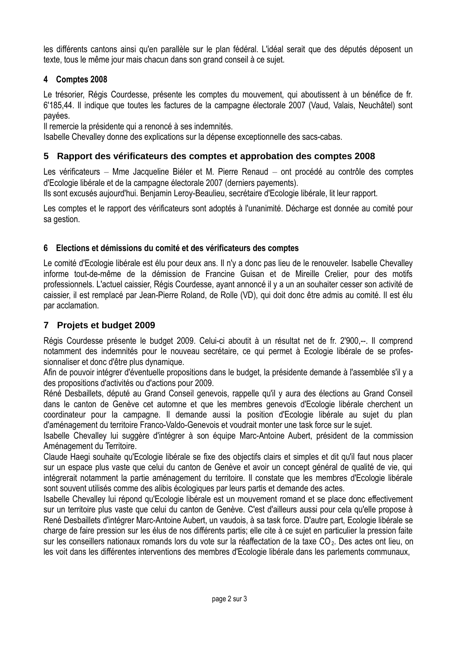les différents cantons ainsi qu'en parallèle sur le plan fédéral. L'idéal serait que des députés déposent un texte, tous le même jour mais chacun dans son grand conseil à ce sujet.

#### 4 Comptes 2008

Le trésorier, Régis Courdesse, présente les comptes du mouvement, qui aboutissent à un bénéfice de fr. 6'185,44. Il indique que toutes les factures de la campagne électorale 2007 (Vaud, Valais, Neuchâtel) sont pavées.

Il remercie la présidente qui a renoncé à ses indemnités.

Isabelle Chevalley donne des explications sur la dépense exceptionnelle des sacs-cabas.

#### 5 Rapport des vérificateurs des comptes et approbation des comptes 2008

Les vérificateurs - Mme Jacqueline Biéler et M. Pierre Renaud - ont procédé au contrôle des comptes d'Ecologie libérale et de la campagne électorale 2007 (derniers payements).

Ils sont excusés aujourd'hui. Benjamin Leroy-Beaulieu, secrétaire d'Ecologie libérale, lit leur rapport.

Les comptes et le rapport des vérificateurs sont adoptés à l'unanimité. Décharge est donnée au comité pour sa gestion.

#### 6 Elections et démissions du comité et des vérificateurs des comptes

Le comité d'Ecologie libérale est élu pour deux ans. Il n'y a donc pas lieu de le renouveler. Isabelle Chevalley informe tout-de-même de la démission de Francine Guisan et de Mireille Crelier, pour des motifs professionnels. L'actuel caissier. Régis Courdesse, avant annoncé il y a un an souhaiter cesser son activité de caissier, il est remplacé par Jean-Pierre Roland, de Rolle (VD), qui doit donc être admis au comité. Il est élu par acclamation.

## 7 Projets et budget 2009

Régis Courdesse présente le budget 2009. Celui-ci aboutit à un résultat net de fr. 2'900,--. Il comprend notamment des indemnités pour le nouveau secrétaire, ce qui permet à Ecologie libérale de se professionnaliser et donc d'être plus dynamique.

Afin de pouvoir intégrer d'éventuelle propositions dans le budget, la présidente demande à l'assemblée s'il y a des propositions d'activités ou d'actions pour 2009.

Réné Desbaillets, député au Grand Conseil genevois, rappelle qu'il y aura des élections au Grand Conseil dans le canton de Genève cet automne et que les membres genevois d'Ecologie libérale cherchent un coordinateur pour la campagne. Il demande aussi la position d'Ecologie libérale au sujet du plan d'aménagement du territoire Franco-Valdo-Genevois et voudrait monter une task force sur le suiet.

Isabelle Chevalley lui suggère d'intégrer à son équipe Marc-Antoine Aubert, président de la commission Aménagement du Territoire.

Claude Haegi souhaite qu'Ecologie libérale se fixe des objectifs clairs et simples et dit qu'il faut nous placer sur un espace plus vaste que celui du canton de Genève et avoir un concept général de qualité de vie, qui intégrerait notamment la partie aménagement du territoire. Il constate que les membres d'Ecologie libérale sont souvent utilisés comme des alibis écologiques par leurs partis et demande des actes.

Isabelle Chevalley lui répond qu'Ecologie libérale est un mouvement romand et se place donc effectivement sur un territoire plus vaste que celui du canton de Genève. C'est d'ailleurs aussi pour cela qu'elle propose à René Desbaillets d'intégrer Marc-Antoine Aubert, un vaudois, à sa task force. D'autre part, Ecologie libérale se charge de faire pression sur les élus de nos différents partis; elle cite à ce sujet en particulier la pression faite sur les conseillers nationaux romands lors du vote sur la réaffectation de la taxe CO<sub>2</sub>. Des actes ont lieu, on les voit dans les différentes interventions des membres d'Ecologie libérale dans les parlements communaux.